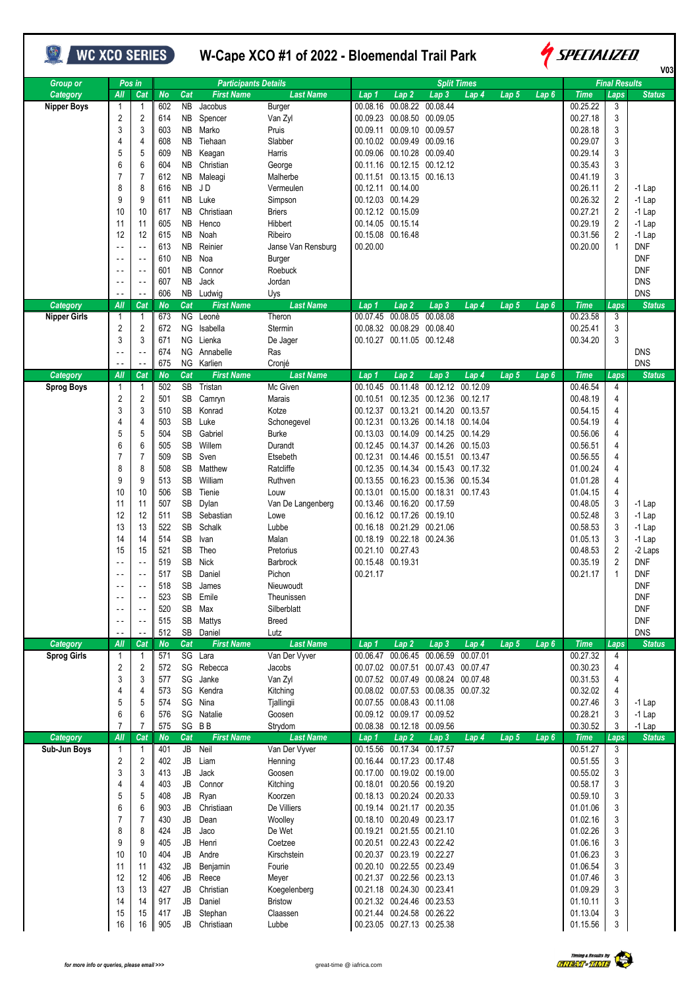| <b>WC XCO SERIES</b>           |                                                                                                                                                                                                                                         |                                                                                                                                                                                                                                                     |                                                                                                                                                        |                                                                                                                                                                      |                                                                                                                                                                                                                                |                                                                                                                                                                                                                                                                       | W-Cape XCO #1 of 2022 - Bloemendal Trail Park |                                                                                                                                                                                                                                                                                                                                                                                                                                                                                                                               |                                                    |                    |                  | SPECIALIZED      |                                                                                                                                                                                                             |                                                                                                |                                                                                                                                                         |  |
|--------------------------------|-----------------------------------------------------------------------------------------------------------------------------------------------------------------------------------------------------------------------------------------|-----------------------------------------------------------------------------------------------------------------------------------------------------------------------------------------------------------------------------------------------------|--------------------------------------------------------------------------------------------------------------------------------------------------------|----------------------------------------------------------------------------------------------------------------------------------------------------------------------|--------------------------------------------------------------------------------------------------------------------------------------------------------------------------------------------------------------------------------|-----------------------------------------------------------------------------------------------------------------------------------------------------------------------------------------------------------------------------------------------------------------------|-----------------------------------------------|-------------------------------------------------------------------------------------------------------------------------------------------------------------------------------------------------------------------------------------------------------------------------------------------------------------------------------------------------------------------------------------------------------------------------------------------------------------------------------------------------------------------------------|----------------------------------------------------|--------------------|------------------|------------------|-------------------------------------------------------------------------------------------------------------------------------------------------------------------------------------------------------------|------------------------------------------------------------------------------------------------|---------------------------------------------------------------------------------------------------------------------------------------------------------|--|
| <b>Group or</b>                |                                                                                                                                                                                                                                         | Pos in                                                                                                                                                                                                                                              |                                                                                                                                                        |                                                                                                                                                                      | <b>Participants Details</b>                                                                                                                                                                                                    |                                                                                                                                                                                                                                                                       |                                               |                                                                                                                                                                                                                                                                                                                                                                                                                                                                                                                               |                                                    | <b>Split Times</b> |                  |                  |                                                                                                                                                                                                             | <b>Final Results</b>                                                                           | <b>V03</b>                                                                                                                                              |  |
| Category<br><b>Nipper Boys</b> | AII<br>$\mathbf{1}$<br>$\overline{c}$<br>3<br>4<br>5<br>6<br>$\overline{7}$<br>8<br>9<br>10<br>11<br>12<br>$\ddotsc$<br>$\sim$ $\sim$                                                                                                   | Cat<br>$\overline{1}$<br>$\overline{2}$<br>3<br>4<br>5<br>6<br>$\overline{7}$<br>8<br>9<br>10<br>11<br>12<br>$\sim$ $\sim$<br>$\overline{\phantom{a}}$ .                                                                                            | <b>No</b><br>602<br>614<br>603<br>608<br>609<br>604<br>612<br>616<br>611<br>617<br>605<br>615<br>613<br>610                                            | Cat<br><b>NB</b><br><b>NB</b><br>NB<br>NB<br><b>NB</b><br><b>NB</b><br><b>NB</b><br><b>NB</b><br>NB<br><b>NB</b><br><b>NB</b><br><b>NB</b><br><b>NB</b><br><b>NB</b> | <b>First Name</b><br>Jacobus<br>Spencer<br>Marko<br>Tiehaan<br>Keagan<br>Christian<br>Maleagi<br>J D<br>Luke<br>Christiaan<br>Henco<br>Noah<br>Reinier<br>Noa                                                                  | <b>Last Name</b><br>Burger<br>Van Zyl<br>Pruis<br>Slabber<br>Harris<br>George<br>Malherbe<br>Vermeulen<br>Simpson<br><b>Briers</b><br>Hibbert<br>Ribeiro<br>Janse Van Rensburg<br>Burger                                                                              | Lap 1<br>00.08.16<br>00.09.23<br>00.20.00     | Lap <sub>2</sub><br>00.08.50 00.09.05<br>00.09.11 00.09.10<br>00.10.02 00.09.49 00.09.16<br>00.09.06 00.10.28 00.09.40<br>00.11.16 00.12.15 00.12.12<br>00.11.51 00.13.15 00.16.13<br>00.12.11 00.14.00<br>00.12.03 00.14.29<br>00.12.12 00.15.09<br>00.14.05 00.15.14<br>00.15.08 00.16.48                                                                                                                                                                                                                                   | $\overline{Lap}3$<br>00.08.22 00.08.44<br>00.09.57 | Lap 4              | Lap 5            | Lap6             | <b>Time</b><br>00.25.22<br>00.27.18<br>00.28.18<br>00.29.07<br>00.29.14<br>00.35.43<br>00.41.19<br>00.26.11<br>00.26.32<br>00.27.21<br>00.29.19<br>00.31.56<br>00.20.00                                     | Laps<br>3<br>3<br>3<br>3<br>3<br>3<br>3<br>2<br>2<br>2<br>2<br>$\overline{2}$<br>$\mathbf{1}$  | <b>Status</b><br>-1 Lap<br>$-1$ Lap<br>$-1$ Lap<br>-1 Lap<br>-1 Lap<br><b>DNF</b><br><b>DNF</b>                                                         |  |
| Category                       | $\overline{a}$<br>$\overline{a}$<br>$\overline{a}$<br>All                                                                                                                                                                               | $\sim$ $\sim$<br>$\sim$ $\sim$<br>$\overline{\phantom{a}}$ .<br>Cat                                                                                                                                                                                 | 601<br>607<br>606<br><b>No</b>                                                                                                                         | <b>NB</b><br>NB<br>Cat                                                                                                                                               | Connor<br>Jack<br>NB Ludwig<br><b>First Name</b>                                                                                                                                                                               | Roebuck<br>Jordan<br>Uys<br><b>Last Name</b>                                                                                                                                                                                                                          | Lap 1                                         | Lap 2                                                                                                                                                                                                                                                                                                                                                                                                                                                                                                                         | Lap 3                                              | Lap 4              | Lap 5            | Lap 6            | <b>Time</b>                                                                                                                                                                                                 | Laps                                                                                           | <b>DNF</b><br><b>DNS</b><br><b>DNS</b><br><b>Status</b>                                                                                                 |  |
| Nipper Girls                   | 1<br>2<br>3<br>$\sim$ $\sim$<br>$\sim$ $\sim$                                                                                                                                                                                           | $\mathbf 1$<br>2<br>3<br>$\sim$ -<br>$\overline{\phantom{a}}$ .                                                                                                                                                                                     | 673<br>672<br>671<br>674<br>675                                                                                                                        | NG                                                                                                                                                                   | NG Leonè<br>NG Isabella<br>Lienka<br>NG Annabelle<br>NG Karlien                                                                                                                                                                | Theron<br>Stermin<br>De Jager<br>Ras<br>Cronjé                                                                                                                                                                                                                        | 00.07.45                                      | 00.08.05<br>00.08.32 00.08.29 00.08.40<br>00.10.27 00.11.05 00.12.48                                                                                                                                                                                                                                                                                                                                                                                                                                                          | 00.08.08                                           |                    |                  |                  | 00.23.58<br>00.25.41<br>00.34.20                                                                                                                                                                            | 3<br>3<br>3                                                                                    | <b>DNS</b><br><b>DNS</b>                                                                                                                                |  |
| Category                       | AII                                                                                                                                                                                                                                     | Cat                                                                                                                                                                                                                                                 | <b>No</b>                                                                                                                                              | Cat                                                                                                                                                                  | <b>First Name</b>                                                                                                                                                                                                              | <b>Last Name</b>                                                                                                                                                                                                                                                      | Lap 1                                         | Lap 2                                                                                                                                                                                                                                                                                                                                                                                                                                                                                                                         | Lap 3                                              | Lap 4              | Lap 5            | Lap6             | <b>Time</b>                                                                                                                                                                                                 | Laps                                                                                           | <b>Status</b>                                                                                                                                           |  |
| <b>Sprog Boys</b>              | 1<br>$\overline{c}$<br>3<br>4<br>5<br>6<br>$\overline{7}$<br>8<br>9<br>10<br>11<br>12<br>13<br>14<br>15<br>$\sim$ $\sim$<br>$\sim$ $\sim$<br>$\sim$ $\sim$<br>$\overline{\phantom{a}}$<br>$\sim$ $\sim$<br>$\overline{a}$<br>$\sim$ $-$ | $\overline{1}$<br>2<br>3<br>4<br>5<br>6<br>$\overline{7}$<br>8<br>9<br>10<br>11<br>12<br>13<br>14<br>15<br>$\sim$ $\sim$<br>$\sim$ .<br>$\overline{\phantom{a}}$ .<br>$\sim$ $\sim$<br>$\sim$ $\sim$<br>$\sim$ $\sim$<br>$\overline{\phantom{a}}$ . | 502<br>501<br>510<br>503<br>504<br>505<br>509<br>508<br>513<br>506<br>507<br>511<br>522<br>514<br>521<br>519<br>517<br>518<br>523<br>520<br>515<br>512 | SB<br>SB<br>SB<br>SB<br>SB<br><b>SB</b><br>SB<br>SB<br><b>SB</b><br>SB<br><b>SB</b><br>SB<br>SB<br>SB<br>SB<br>SB<br>SB                                              | Tristan<br>Camryn<br>Konrad<br>Luke<br>Gabriel<br>Willem<br>Sven<br>Matthew<br>William<br>SB Tienie<br>Dylan<br>Sebastian<br>Schalk<br>Ivan<br>Theo<br>Nick<br>Daniel<br>James<br>SB Emile<br>SB Max<br>SB Mattys<br>SB Daniel | Mc Given<br>Marais<br>Kotze<br>Schonegevel<br><b>Burke</b><br>Durandt<br>Etsebeth<br>Ratcliffe<br>Ruthven<br>Louw<br>Van De Langenberg<br>Lowe<br>Lubbe<br>Malan<br>Pretorius<br>Barbrock<br>Pichon<br>Nieuwoudt<br>Theunissen<br>Silberblatt<br><b>Breed</b><br>Lutz | 00.10.45<br>00.21.17                          | 00.10.51 00.12.35 00.12.36 00.12.17<br>00.12.37 00.13.21 00.14.20 00.13.57<br>00.12.31 00.13.26 00.14.18 00.14.04<br>00.13.03 00.14.09 00.14.25 00.14.29<br>00.12.45 00.14.37 00.14.26 00.15.03<br>00.12.31 00.14.46 00.15.51 00.13.47<br>00.12.35 00.14.34 00.15.43 00.17.32<br>00.13.55 00.16.23 00.15.36 00.15.34<br>00.13.01 00.15.00 00.18.31 00.17.43<br>00.13.46 00.16.20 00.17.59<br>00.16.12 00.17.26 00.19.10<br>00.16.18 00.21.29 00.21.06<br>00.18.19 00.22.18 00.24.36<br>00.21.10 00.27.43<br>00.15.48 00.19.31 | 00.11.48 00.12.12 00.12.09                         |                    |                  |                  | 00.46.54<br>00.48.19<br>00.54.15<br>00.54.19<br>00.56.06<br>00.56.51<br>00.56.55<br>01.00.24<br>01.01.28<br>01.04.15<br>00.48.05<br>00.52.48<br>00.58.53<br>01.05.13<br>00.48.53<br>00.35.19<br>00.21.17    | 4<br>4<br>4<br>4<br>4<br>4<br>4<br>4<br>4<br>4<br>3<br>3<br>3<br>3<br>2<br>$\overline{2}$<br>1 | $-1$ Lap<br>$-1$ Lap<br>-1 Lap<br>$-1$ Lap<br>-2 Laps<br><b>DNF</b><br><b>DNF</b><br><b>DNF</b><br><b>DNF</b><br><b>DNF</b><br><b>DNF</b><br><b>DNS</b> |  |
| Category<br><b>Sprog Girls</b> | AII<br>$\mathbf{1}$<br>$\overline{c}$<br>3<br>4<br>5<br>6<br>$\overline{7}$                                                                                                                                                             | Cat<br>1<br>2<br>3<br>4<br>5<br>6<br>7                                                                                                                                                                                                              | <b>No</b><br>571<br>572<br>577<br>573<br>574<br>576<br>575                                                                                             | Cat                                                                                                                                                                  | <b>First Name</b><br>SG Lara<br>SG Rebecca<br>SG Janke<br>SG Kendra<br>SG Nina<br>SG Natalie<br>SG BB                                                                                                                          | <b>Last Name</b><br>Van Der Vyver<br>Jacobs<br>Van Zyl<br>Kitching<br>Tjallingii<br>Goosen<br>Strydom                                                                                                                                                                 | Lap 1<br>00.06.47                             | Lap 2<br>00.07.02 00.07.51 00.07.43 00.07.47<br>00.07.52 00.07.49 00.08.24 00.07.48<br>00.08.02 00.07.53 00.08.35 00.07.32<br>00.07.55 00.08.43 00.11.08<br>00.09.12 00.09.17 00.09.52<br>00.08.38 00.12.18 00.09.56                                                                                                                                                                                                                                                                                                          | Lap <sub>3</sub><br>00.06.45 00.06.59              | Lap 4<br>00.07.01  | Lap <sub>5</sub> | Lap <sub>6</sub> | <b>Time</b><br>00.27.32<br>00.30.23<br>00.31.53<br>00.32.02<br>00.27.46<br>00.28.21<br>00.30.52                                                                                                             | Laps<br>4<br>4<br>4<br>4<br>3<br>3<br>3                                                        | <b>Status</b><br>$-1$ Lap<br>$-1$ Lap<br>$-1$ Lap                                                                                                       |  |
| Category<br>Sub-Jun Boys       | AII<br>1<br>$\overline{2}$<br>3<br>$\overline{4}$<br>5<br>6<br>$\overline{7}$<br>8<br>9<br>10<br>11<br>12<br>13<br>14<br>15<br>16                                                                                                       | Cat<br>-1<br>2<br>3<br>4<br>5<br>6<br>$\overline{7}$<br>8<br>9<br>10<br>11<br>12<br>13<br>14<br>15<br>16                                                                                                                                            | <b>No</b><br>401<br>402<br>413<br>403<br>408<br>903<br>430<br>424<br>405<br>404<br>432<br>406<br>427<br>917<br>417<br>905                              | Cat<br>$\overline{JB}$<br>JB<br>JB<br>JB<br>JB<br>JB<br>JB<br>JB<br>JB<br>JB<br>JB<br>JB<br>JB<br>JB<br>JB                                                           | <b>First Name</b><br>Neil<br>Liam<br>Jack<br>Connor<br>Ryan<br>Christiaan<br>Dean<br>Jaco<br>Henri<br>Andre<br>Benjamin<br>Reece<br>Christian<br>Daniel<br>Stephan<br>JB Christiaan                                            | <b>Last Name</b><br>Van Der Vyver<br>Henning<br>Goosen<br>Kitching<br>Koorzen<br>De Villiers<br>Woolley<br>De Wet<br>Coetzee<br>Kirschstein<br>Fourie<br>Meyer<br>Koegelenberg<br><b>Bristow</b><br>Claassen<br>Lubbe                                                 | Lap 1<br>00.15.56                             | Lap 2<br>00.17.34 00.17.57<br>00.16.44 00.17.23 00.17.48<br>00.17.00 00.19.02 00.19.00<br>00.18.01 00.20.56 00.19.20<br>00.18.13 00.20.24 00.20.33<br>00.19.14 00.21.17 00.20.35<br>00.18.10 00.20.49 00.23.17<br>00.19.21 00.21.55 00.21.10<br>00.20.51 00.22.43 00.22.42<br>00.20.37 00.23.19 00.22.27<br>00.20.10 00.22.55 00.23.49<br>00.21.37 00.22.56 00.23.13<br>00.21.18 00.24.30 00.23.41<br>00.21.32 00.24.46 00.23.53<br>00.21.44 00.24.58 00.26.22<br>00.23.05 00.27.13 00.25.38                                  | Lap 3                                              | Lap 4              | Lap 5            | Lap 6            | <b>Time</b><br>00.51.27<br>00.51.55<br>00.55.02<br>00.58.17<br>00.59.10<br>01.01.06<br>01.02.16<br>01.02.26<br>01.06.16<br>01.06.23<br>01.06.54<br>01.07.46<br>01.09.29<br>01.10.11<br>01.13.04<br>01.15.56 | Laps<br>3<br>3<br>3<br>3<br>3<br>3<br>3<br>3<br>3<br>3<br>3<br>3<br>3<br>3<br>3<br>3           | <b>Status</b>                                                                                                                                           |  |

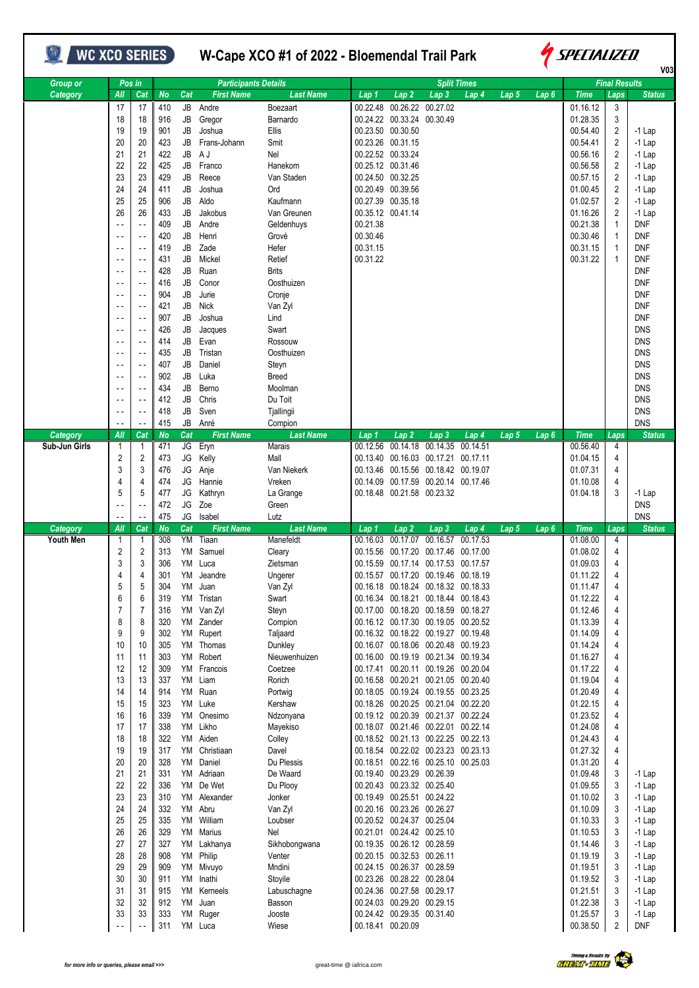## **WC XCO SERIES** W-Cape XCO #1 of 2022 - Bloemendal Trail Park



|               |                                            |                            |            |          |                             |                         |                      |                                                          |                                                                            |                    |                  |                  |                      |                                  | V03                  |
|---------------|--------------------------------------------|----------------------------|------------|----------|-----------------------------|-------------------------|----------------------|----------------------------------------------------------|----------------------------------------------------------------------------|--------------------|------------------|------------------|----------------------|----------------------------------|----------------------|
| Group or      |                                            | Pos in                     |            |          | <b>Participants Details</b> |                         |                      |                                                          |                                                                            | <b>Split Times</b> |                  |                  |                      | <b>Final Results</b>             |                      |
| Category      | All                                        | Cat                        | <b>No</b>  | Cat      | <b>First Name</b>           | <b>Last Name</b>        | Lap 1                | Lap <sub>2</sub>                                         | Lap 3                                                                      | Lap 4              | Lap <sub>5</sub> | Lap <sub>6</sub> | <b>Time</b>          | Laps                             | <b>Status</b>        |
|               | 17                                         | 17                         | 410        | JB       | Andre                       | Boezaart                |                      | 00.22.48 00.26.22 00.27.02                               |                                                                            |                    |                  |                  | 01.16.12             | 3                                |                      |
|               | 18                                         | 18                         | 916        | JB       | Gregor                      | Barnardo                |                      | 00.24.22 00.33.24 00.30.49                               |                                                                            |                    |                  |                  | 01.28.35             | 3                                |                      |
|               | 19                                         | 19                         | 901        | JB       | Joshua                      | Ellis                   |                      | 00.23.50 00.30.50                                        |                                                                            |                    |                  |                  | 00.54.40             | $\overline{2}$                   | $-1$ Lap             |
|               | 20                                         | 20                         | 423        | JB       | Frans-Johann                | Smit                    |                      | 00.23.26 00.31.15                                        |                                                                            |                    |                  |                  | 00.54.41             | $\overline{2}$                   | $-1$ Lap             |
|               | 21                                         | 21                         | 422        | JB       | A J                         | Nel                     |                      | 00.22.52 00.33.24                                        |                                                                            |                    |                  |                  | 00.56.16             | $\overline{2}$                   | $-1$ Lap             |
|               | 22                                         | 22                         | 425        | JB       | Franco                      | Hanekom                 |                      | 00.25.12 00.31.46                                        |                                                                            |                    |                  |                  | 00.56.58             | 2                                | $-1$ Lap             |
|               | 23                                         | 23                         | 429        | JB       | Reece                       | Van Staden              |                      | 00.24.50 00.32.25                                        |                                                                            |                    |                  |                  | 00.57.15             | $\overline{2}$                   | $-1$ Lap             |
|               | 24                                         | 24                         | 411        | JB       | Joshua                      | Ord                     |                      | 00.20.49 00.39.56                                        |                                                                            |                    |                  |                  | 01.00.45             | $\overline{2}$                   | $-1$ Lap             |
|               | 25                                         | 25                         | 906        | JB       | Aldo                        | Kaufmann                |                      | 00.27.39 00.35.18                                        |                                                                            |                    |                  |                  | 01.02.57             | $\overline{2}$                   | $-1$ Lap             |
|               | 26                                         | 26                         | 433        | JB       | Jakobus                     | Van Greunen             |                      | 00.35.12 00.41.14                                        |                                                                            |                    |                  |                  | 01.16.26             | $\overline{2}$                   | $-1$ Lap             |
|               | $\overline{a}$                             | $\sim$ $\sim$              | 409        | JB       | Andre                       | Geldenhuys              | 00.21.38             |                                                          |                                                                            |                    |                  |                  | 00.21.38             | $\mathbf{1}$                     | <b>DNF</b>           |
|               | $\sim$ $\sim$                              | $\sim$ .                   | 420        | JB       | Henri                       | Grové                   | 00.30.46             |                                                          |                                                                            |                    |                  |                  | 00.30.46             | $\mathbf{1}$                     | <b>DNF</b>           |
|               | $\overline{\phantom{a}}$<br>$\sim$ $\sim$  | $\sim$ -                   | 419<br>431 | JB<br>JB | Zade<br>Mickel              | Hefer<br>Retief         | 00.31.15<br>00.31.22 |                                                          |                                                                            |                    |                  |                  | 00.31.15<br>00.31.22 | $\mathbf{1}$<br>$\mathbf{1}$     | DNF<br>DNF           |
|               |                                            | $ -$                       | 428        | JB       | Ruan                        | <b>Brits</b>            |                      |                                                          |                                                                            |                    |                  |                  |                      |                                  | <b>DNF</b>           |
|               | $\overline{\phantom{a}}$<br>$\overline{a}$ | $\overline{\phantom{a}}$ . | 416        | JB       | Conor                       | Oosthuizen              |                      |                                                          |                                                                            |                    |                  |                  |                      |                                  | <b>DNF</b>           |
|               | $\sim$ $\sim$                              | $\sim$ $\sim$              | 904        | JB       | Jurie                       | Cronje                  |                      |                                                          |                                                                            |                    |                  |                  |                      |                                  | DNF                  |
|               | $\sim$ $\sim$                              | $\sim$                     | 421        | JB       | <b>Nick</b>                 | Van Zyl                 |                      |                                                          |                                                                            |                    |                  |                  |                      |                                  | <b>DNF</b>           |
|               | $\overline{a}$                             | $\overline{\phantom{a}}$ . | 907        | JB       | Joshua                      | Lind                    |                      |                                                          |                                                                            |                    |                  |                  |                      |                                  | <b>DNF</b>           |
|               | $\sim$ $\sim$                              | $\sim$ .                   | 426        | JB       | Jacques                     | Swart                   |                      |                                                          |                                                                            |                    |                  |                  |                      |                                  | <b>DNS</b>           |
|               | $\overline{a}$                             | $\sim$ .                   | 414        | JB       | Evan                        | Rossouw                 |                      |                                                          |                                                                            |                    |                  |                  |                      |                                  | <b>DNS</b>           |
|               | $ -$                                       | $\sim$ .                   | 435        | JB       | Tristan                     | Oosthuizen              |                      |                                                          |                                                                            |                    |                  |                  |                      |                                  | <b>DNS</b>           |
|               | $\sim$ $\sim$                              | $\sim$ $\sim$              | 407        | JB       | Daniel                      | Steyn                   |                      |                                                          |                                                                            |                    |                  |                  |                      |                                  | <b>DNS</b>           |
|               | $\sim$                                     | $\sim$ .                   | 902        | JB       | Luka                        | <b>Breed</b>            |                      |                                                          |                                                                            |                    |                  |                  |                      |                                  | <b>DNS</b>           |
|               | $\overline{a}$                             | $\sim$ .                   | 434        | JB       | Berno                       | Moolman                 |                      |                                                          |                                                                            |                    |                  |                  |                      |                                  | <b>DNS</b>           |
|               | $\overline{\phantom{a}}$                   | $\sim$ $\sim$              | 412        | JB       | Chris                       | Du Toit                 |                      |                                                          |                                                                            |                    |                  |                  |                      |                                  | <b>DNS</b>           |
|               | $\overline{a}$                             | $\overline{\phantom{a}}$   | 418        | JB       | Sven                        | Tjallingii              |                      |                                                          |                                                                            |                    |                  |                  |                      |                                  | <b>DNS</b>           |
|               | $\sim$ $\sim$                              |                            | 415        | JB       | Anré                        | Compion                 |                      |                                                          |                                                                            |                    |                  |                  |                      |                                  | <b>DNS</b>           |
| Category      | All                                        | Cat                        | <b>No</b>  | Cat      | <b>First Name</b>           | Last Name               | Lap 1                | Lap <sub>2</sub>                                         | Lap <sub>3</sub>                                                           | Lap 4              | Lap 5            | Lap6             | <b>Time</b>          | Laps                             | <b>Status</b>        |
| Sub-Jun Girls | 1                                          | 1                          | 471        | JG       | Eryn                        | Marais                  |                      |                                                          | 00.12.56 00.14.18 00.14.35                                                 | 00.14.51           |                  |                  | 00.56.40             | 4                                |                      |
|               | 2                                          | 2                          | 473        | JG       | Kelly                       | Mall                    |                      |                                                          | 00.13.40 00.16.03 00.17.21 00.17.11                                        |                    |                  |                  | 01.04.15             | 4                                |                      |
|               | 3                                          | 3                          | 476        | JG       | Anje                        | Van Niekerk             | 00.13.46             |                                                          | 00.15.56 00.18.42 00.19.07                                                 |                    |                  |                  | 01.07.31             | $\overline{4}$                   |                      |
|               | 4                                          | 4                          | 474        | JG       | Hannie                      | Vreken                  |                      |                                                          | 00.14.09 00.17.59 00.20.14 00.17.46                                        |                    |                  |                  | 01.10.08             | 4                                |                      |
|               |                                            |                            |            |          |                             |                         |                      |                                                          |                                                                            |                    |                  |                  |                      |                                  |                      |
|               | 5                                          | 5                          | 477        | JG       | Kathryn                     | La Grange               |                      | 00.18.48 00.21.58 00.23.32                               |                                                                            |                    |                  |                  | 01.04.18             | 3                                | $-1$ Lap             |
|               | $\overline{\phantom{a}}$                   | $\overline{\phantom{a}}$ . | 472        | JG       | Zoe                         | Green                   |                      |                                                          |                                                                            |                    |                  |                  |                      |                                  | DNS                  |
|               | $\overline{\phantom{a}}$                   | $\sim$ .                   | 475        | JG       | Isabel                      | Lutz                    |                      |                                                          |                                                                            |                    |                  |                  |                      |                                  | <b>DNS</b>           |
| Category      | AII                                        | Cat                        | <b>No</b>  | Cat      | <b>First Name</b>           | <b>Last Name</b>        | Lap 1                | Lap2                                                     | Lap3                                                                       | Lap 4              | Lap 5            | Lap 6            | <b>Time</b>          | Laps                             | <b>Status</b>        |
| Youth Men     | 1                                          | 1                          | 308        | YM       | Tiaan                       | Manefeldt               | 00.16.03             |                                                          | 00.17.07 00.16.57                                                          | 00.17.53           |                  |                  | 01.08.00             | 4                                |                      |
|               | 2                                          | $\overline{2}$             | 313        | YM       | Samuel                      | Cleary                  |                      |                                                          | 00.15.56 00.17.20 00.17.46 00.17.00                                        |                    |                  |                  | 01.08.02             | 4                                |                      |
|               | 3                                          | 3                          | 306        |          | YM Luca                     | Zietsman                |                      |                                                          | 00.15.59 00.17.14 00.17.53 00.17.57                                        |                    |                  |                  | 01.09.03             | 4                                |                      |
|               | 4                                          | 4                          | 301        | YM       | Jeandre                     | Ungerer                 |                      |                                                          | 00.15.57 00.17.20 00.19.46 00.18.19                                        |                    |                  |                  | 01.11.22             | 4                                |                      |
|               | 5                                          | 5                          | 304        |          | YM Juan                     | Van Zyl                 |                      |                                                          | 00.16.18 00.18.24 00.18.32 00.18.33                                        |                    |                  |                  | 01.11.47             | $\Delta$                         |                      |
|               | 6                                          | 6                          | 319        |          | YM Tristan                  | Swart                   |                      |                                                          | 00.16.34 00.18.21 00.18.44 00.18.43                                        |                    |                  |                  | 01.12.22             | 4                                |                      |
|               | 7<br>8                                     | $\overline{7}$<br>8        | 316<br>320 |          | YM Van Zyl                  | Steyn                   |                      |                                                          | 00.17.00 00.18.20 00.18.59 00.18.27<br>00.16.12 00.17.30 00.19.05 00.20.52 |                    |                  |                  | 01.12.46             | $\overline{4}$<br>$\overline{4}$ |                      |
|               | 9                                          | 9                          | 302        |          | YM Zander<br>YM Rupert      | Compion                 |                      |                                                          | 00.16.32 00.18.22 00.19.27 00.19.48                                        |                    |                  |                  | 01.13.39<br>01.14.09 | 4                                |                      |
|               | 10                                         | 10                         | 305        |          | YM Thomas                   | Taljaard<br>Dunkley     |                      |                                                          | 00.16.07 00.18.06 00.20.48 00.19.23                                        |                    |                  |                  | 01.14.24             | $\overline{4}$                   |                      |
|               | 11                                         | 11                         | 303        |          | YM Robert                   | Nieuwenhuizen           |                      |                                                          | 00.16.00 00.19.19 00.21.34 00.19.34                                        |                    |                  |                  | 01.16.27             | 4                                |                      |
|               | 12                                         | 12                         | 309        |          | YM Francois                 | Coetzee                 |                      |                                                          | 00.17.41 00.20.11 00.19.26 00.20.04                                        |                    |                  |                  | 01.17.22             | 4                                |                      |
|               | 13                                         | 13                         | 337        | YM       | Liam                        | Rorich                  |                      |                                                          | 00.16.58 00.20.21 00.21.05 00.20.40                                        |                    |                  |                  | 01.19.04             | $\overline{4}$                   |                      |
|               | 14                                         | 14                         | 914        |          | YM Ruan                     | Portwig                 |                      |                                                          | 00.18.05 00.19.24 00.19.55 00.23.25                                        |                    |                  |                  | 01.20.49             | 4                                |                      |
|               | 15                                         | 15                         | 323        |          | YM Luke                     | Kershaw                 |                      |                                                          | 00.18.26 00.20.25 00.21.04 00.22.20                                        |                    |                  |                  | 01.22.15             | 4                                |                      |
|               | 16                                         | 16                         | 339        |          | YM Onesimo                  | Ndzonyana               |                      |                                                          | 00.19.12 00.20.39 00.21.37 00.22.24                                        |                    |                  |                  | 01.23.52             | $\overline{4}$                   |                      |
|               | 17                                         | 17                         | 338        |          | YM Likho                    | Mayekiso                |                      |                                                          | 00.18.07 00.21.46 00.22.01 00.22.14                                        |                    |                  |                  | 01.24.08             | $\overline{4}$                   |                      |
|               | 18                                         | 18                         | 322        |          | YM Aiden                    | Colley                  |                      |                                                          | 00.18.52 00.21.13 00.22.25 00.22.13                                        |                    |                  |                  | 01.24.43             | 4                                |                      |
|               | 19                                         | 19                         | 317        | YM       | Christiaan                  | Davel                   |                      |                                                          | 00.18.54 00.22.02 00.23.23 00.23.13                                        |                    |                  |                  | 01.27.32             | 4                                |                      |
|               | 20                                         | 20                         | 328        |          | YM Daniel                   | Du Plessis              |                      |                                                          | 00.18.51 00.22.16 00.25.10 00.25.03                                        |                    |                  |                  | 01.31.20             | $\overline{4}$                   |                      |
|               | 21                                         | 21                         | 331        |          | YM Adriaan                  | De Waard                |                      | 00.19.40 00.23.29 00.26.39                               |                                                                            |                    |                  |                  | 01.09.48             | 3                                | $-1$ Lap             |
|               | 22                                         | 22                         | 336        |          | YM De Wet                   | Du Plooy                |                      | 00.20.43 00.23.32 00.25.40                               |                                                                            |                    |                  |                  | 01.09.55             | 3                                | $-1$ Lap             |
|               | 23                                         | 23                         | 310        |          | YM Alexander                | Jonker                  |                      | 00.19.49 00.25.51 00.24.22                               |                                                                            |                    |                  |                  | 01.10.02             | 3                                | $-1$ Lap             |
|               | 24                                         | 24                         | 332        | YM       | Abru                        | Van Zyl                 |                      | 00.20.16 00.23.26 00.26.27                               |                                                                            |                    |                  |                  | 01.10.09             | 3                                | $-1$ Lap             |
|               | 25                                         | 25                         | 335        |          | YM William                  | Loubser                 |                      | 00.20.52 00.24.37 00.25.04                               |                                                                            |                    |                  |                  | 01.10.33             | 3                                | $-1$ Lap             |
|               | 26<br>27                                   | 26<br>27                   | 329        |          | YM Marius                   | Nel                     |                      | 00.21.01 00.24.42 00.25.10                               |                                                                            |                    |                  |                  | 01.10.53<br>01.14.46 | 3<br>3                           | $-1$ Lap             |
|               | 28                                         | 28                         | 327<br>908 |          | YM Lakhanya<br>YM Philip    | Sikhobongwana<br>Venter |                      | 00.19.35 00.26.12 00.28.59<br>00.20.15 00.32.53 00.26.11 |                                                                            |                    |                  |                  | 01.19.19             | 3                                | $-1$ Lap             |
|               | 29                                         | 29                         | 909        |          | YM Mivuyo                   | Mndini                  |                      | 00.24.15 00.26.37 00.28.59                               |                                                                            |                    |                  |                  | 01.19.51             | 3                                | $-1$ Lap<br>$-1$ Lap |
|               | 30                                         | 30                         | 911        | YM       | Inathi                      | Stoyile                 |                      | 00.23.26 00.28.22 00.28.04                               |                                                                            |                    |                  |                  | 01.19.52             | 3                                | $-1$ Lap             |
|               | 31                                         | 31                         | 915        |          | YM Kerneels                 | Labuschagne             |                      | 00.24.36 00.27.58 00.29.17                               |                                                                            |                    |                  |                  | 01.21.51             | 3                                | $-1$ Lap             |
|               | 32                                         | 32                         | 912        | YM       | Juan                        | Basson                  |                      | 00.24.03 00.29.20 00.29.15                               |                                                                            |                    |                  |                  | 01.22.38             | 3                                | $-1$ Lap             |
|               | 33                                         | 33                         | 333        | YM       | Ruger                       | Jooste                  |                      | 00.24.42 00.29.35 00.31.40                               |                                                                            |                    |                  |                  | 01.25.57             | 3                                | $-1$ Lap             |

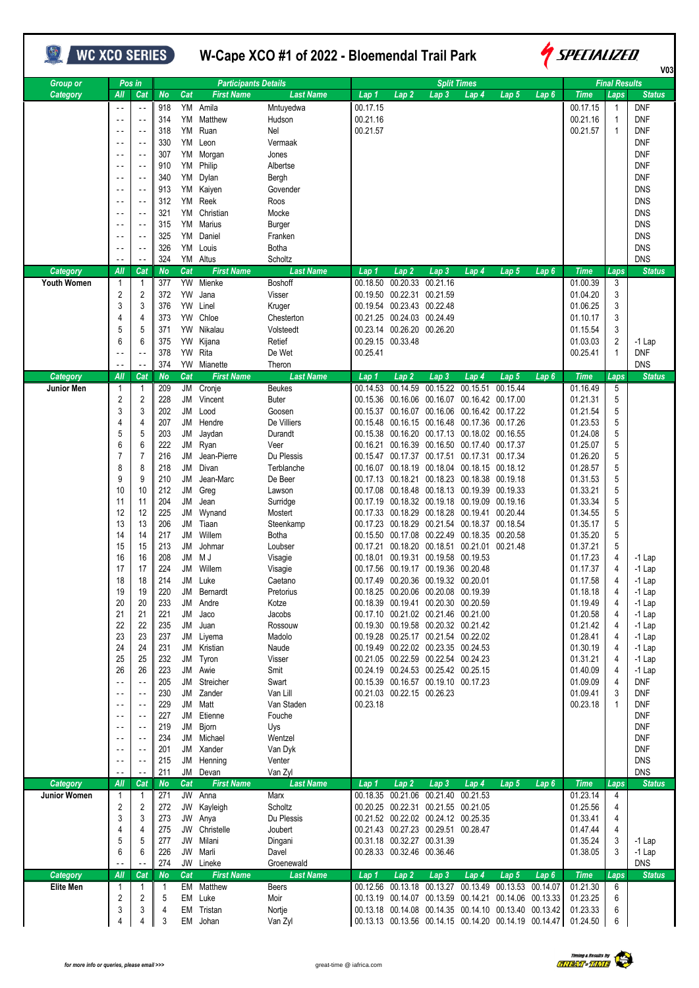| <b>WC XCO SERIES</b>         |                                  |                            |                 |           | W-Cape XCO #1 of 2022 - Bloemendal Trail Park |                             |          |                            |                                                                                              |                    |                  |                  | <i><b>SPECIALIZED</b></i><br>V <sub>03</sub> |                      |                             |  |
|------------------------------|----------------------------------|----------------------------|-----------------|-----------|-----------------------------------------------|-----------------------------|----------|----------------------------|----------------------------------------------------------------------------------------------|--------------------|------------------|------------------|----------------------------------------------|----------------------|-----------------------------|--|
| <b>Group or</b>              |                                  | Pos in                     |                 |           | <b>Participants Details</b>                   |                             |          |                            |                                                                                              | <b>Split Times</b> |                  |                  |                                              | <b>Final Results</b> |                             |  |
| Category                     | All                              | Cat                        | <b>No</b>       | Cat       | <b>First Name</b>                             | <b>Last Name</b>            | Lap 1    | Lap <sub>2</sub>           | Lap <sub>3</sub>                                                                             | Lap <sub>4</sub>   | Lap <sub>5</sub> | Lap <sub>6</sub> | <b>Time</b>                                  | Laps                 | <b>Status</b>               |  |
|                              | $\sim$ $\sim$                    |                            | 918             |           | YM Amila                                      | Mntuyedwa                   | 00.17.15 |                            |                                                                                              |                    |                  |                  | 00.17.15                                     | -1                   | DNF                         |  |
|                              | $\sim$ $\sim$                    |                            | 314             | YM        | Matthew                                       | Hudson                      | 00.21.16 |                            |                                                                                              |                    |                  |                  | 00.21.16                                     | 1                    | <b>DNF</b>                  |  |
|                              | $\sim$ $\sim$                    |                            | 318             | YM        | Ruan                                          | Nel                         | 00.21.57 |                            |                                                                                              |                    |                  |                  | 00.21.57                                     | 1                    | DNF                         |  |
|                              | $\overline{\phantom{a}}$         | $\sim$ .                   | 330<br>307      | YM<br>YM  | Leon<br>Morgan                                | Vermaak<br>Jones            |          |                            |                                                                                              |                    |                  |                  |                                              |                      | DNF<br>DNF                  |  |
|                              | $\sim$ $\sim$                    |                            | 910             | YM        | Philip                                        | Albertse                    |          |                            |                                                                                              |                    |                  |                  |                                              |                      | <b>DNF</b>                  |  |
|                              |                                  |                            | 340             | YM        | Dylan                                         | Bergh                       |          |                            |                                                                                              |                    |                  |                  |                                              |                      | DNF                         |  |
|                              |                                  |                            | 913             | YM        | Kaiyen                                        | Govender                    |          |                            |                                                                                              |                    |                  |                  |                                              |                      | <b>DNS</b>                  |  |
|                              |                                  |                            | 312             | YM        | Reek                                          | Roos                        |          |                            |                                                                                              |                    |                  |                  |                                              |                      | <b>DNS</b>                  |  |
|                              | $\sim$ $\sim$                    | $\sim$ .                   | 321             | YM        | Christian                                     | Mocke                       |          |                            |                                                                                              |                    |                  |                  |                                              |                      | <b>DNS</b>                  |  |
|                              |                                  |                            | 315             | YM        | Marius                                        | Burger                      |          |                            |                                                                                              |                    |                  |                  |                                              |                      | <b>DNS</b>                  |  |
|                              | $\sim$ $\sim$                    | $\sim$ $\sim$              | 325             | YM        | Daniel                                        | Franken                     |          |                            |                                                                                              |                    |                  |                  |                                              |                      | <b>DNS</b>                  |  |
|                              | $\sim$ $\sim$                    | $\sim$ $\sim$              | 326             | YM        | Louis                                         | Botha                       |          |                            |                                                                                              |                    |                  |                  |                                              |                      | <b>DNS</b>                  |  |
|                              |                                  |                            | 324             |           | YM Altus                                      | Scholtz                     |          |                            |                                                                                              |                    |                  |                  |                                              |                      | <b>DNS</b>                  |  |
| Category                     | All                              | Cat                        | <b>No</b>       | Cat       | <b>First Name</b>                             | <b>Last Name</b>            | Lap 1    | Lap <sub>2</sub>           | Lap <sub>3</sub>                                                                             | Lap 4              | Lap 5            | Lap6             | <b>Time</b>                                  | Laps                 | <b>Status</b>               |  |
| <b>Youth Women</b>           | 1                                |                            | 377             |           | YW Mienke                                     | Boshoff                     | 00.18.50 |                            | 00.20.33 00.21.16                                                                            |                    |                  |                  | 01.00.39                                     | 3                    |                             |  |
|                              | 2                                | 2                          | 372             | <b>YW</b> | Jana                                          | Visser                      |          |                            | 00.19.50 00.22.31 00.21.59<br>00.19.54 00.23.43 00.22.48                                     |                    |                  |                  | 01.04.20                                     | 3                    |                             |  |
|                              | 3<br>4                           | 3<br>4                     | 376<br>373      | YW<br>YW  | Linel<br>Chloe                                | Kruger<br>Chesterton        |          | 00.21.25 00.24.03 00.24.49 |                                                                                              |                    |                  |                  | 01.06.25<br>01.10.17                         | 3<br>3               |                             |  |
|                              | 5                                | 5                          | 371             | <b>YW</b> | Nikalau                                       | Volsteedt                   |          |                            | 00.23.14 00.26.20 00.26.20                                                                   |                    |                  |                  | 01.15.54                                     | 3                    |                             |  |
|                              | 6                                | 6                          | 375             | YW        | Kijana                                        | Retief                      |          | 00.29.15 00.33.48          |                                                                                              |                    |                  |                  | 01.03.03                                     | 2                    | $-1$ Lap                    |  |
|                              |                                  |                            | 378             |           | YW Rita                                       | De Wet                      | 00.25.41 |                            |                                                                                              |                    |                  |                  | 00.25.41                                     | 1                    | <b>DNF</b>                  |  |
|                              |                                  |                            | 374             |           | YW Mianette                                   | Theron                      |          |                            |                                                                                              |                    |                  |                  |                                              |                      | <b>DNS</b>                  |  |
| Category                     | All                              | Cat                        | No              | Cat       | <b>First Name</b>                             | <b>Last Name</b>            | Lap 1    | Lap 2                      | Lap <sub>3</sub>                                                                             | Lap 4              | Lap 5            | Lap <sub>6</sub> | <b>Time</b>                                  | Laps                 | <b>Status</b>               |  |
| Junior Men                   | 1                                |                            | 209             |           | JM Cronje                                     | Beukes                      | 00.14.53 | 00.14.59                   | 00.15.22                                                                                     | 00.15.51           | 00.15.44         |                  | 01.16.49                                     | 5                    |                             |  |
|                              | 2                                | 2                          | 228             |           | JM Vincent                                    | Buter                       |          |                            | 00.15.36 00.16.06 00.16.07 00.16.42 00.17.00                                                 |                    |                  |                  | 01.21.31                                     | 5                    |                             |  |
|                              | 3                                | 3                          | 202             | JM        | Lood                                          | Goosen                      |          |                            | 00.15.37  00.16.07  00.16.06  00.16.42  00.17.22                                             |                    |                  |                  | 01.21.54                                     | 5                    |                             |  |
|                              | 4                                | 4                          | 207             | JM        | Hendre                                        | De Villiers                 |          |                            | 00.15.48 00.16.15 00.16.48 00.17.36 00.17.26                                                 |                    |                  |                  | 01.23.53                                     | 5                    |                             |  |
|                              | 5<br>6                           | 5<br>6                     | 203<br>222      | JM        | Jaydan                                        | Durandt                     |          |                            | 00.15.38 00.16.20 00.17.13 00.18.02 00.16.55                                                 |                    |                  |                  | 01.24.08                                     | 5<br>5               |                             |  |
|                              | $\overline{7}$                   | $\overline{7}$             | 216             | JM<br>JM  | Ryan<br>Jean-Pierre                           | Veer<br>Du Plessis          |          |                            | 00.16.21 00.16.39 00.16.50 00.17.40 00.17.37<br>00.15.47 00.17.37 00.17.51 00.17.31 00.17.34 |                    |                  |                  | 01.25.07<br>01.26.20                         | 5                    |                             |  |
|                              | 8                                | 8                          | 218             | JM        | Divan                                         | Terblanche                  |          |                            | 00.16.07  00.18.19  00.18.04  00.18.15  00.18.12                                             |                    |                  |                  | 01.28.57                                     | 5                    |                             |  |
|                              | 9                                | 9                          | 210             | JM        | Jean-Marc                                     | De Beer                     |          |                            | 00.17.13 00.18.21 00.18.23 00.18.38 00.19.18                                                 |                    |                  |                  | 01.31.53                                     | 5                    |                             |  |
|                              | 10                               | 10                         | 212             | JM        | Greg                                          | Lawson                      |          |                            | 00.17.08 00.18.48 00.18.13 00.19.39 00.19.33                                                 |                    |                  |                  | 01.33.21                                     | 5                    |                             |  |
|                              | 11                               | 11                         | 204             | JM        | Jean                                          | Surridge                    |          |                            | 00.17.19  00.18.32  00.19.18  00.19.09  00.19.16                                             |                    |                  |                  | 01.33.34                                     | 5                    |                             |  |
|                              | 12                               | 12                         | 225             | JM        | Wynand                                        | Mostert                     |          |                            | 00.17.33 00.18.29 00.18.28 00.19.41 00.20.44                                                 |                    |                  |                  | 01.34.55                                     | 5                    |                             |  |
|                              | 13                               | 13                         | 206             | JM        | Tiaan                                         | Steenkamp                   |          |                            | 00.17.23 00.18.29 00.21.54 00.18.37 00.18.54                                                 |                    |                  |                  | 01.35.17                                     | 5                    |                             |  |
|                              | 14                               | 14                         | 217             | JM        | Willem                                        | Botha                       |          |                            | 00.15.50 00.17.08 00.22.49 00.18.35 00.20.58                                                 |                    |                  |                  | 01.35.20                                     | 5                    |                             |  |
|                              | 15                               | 15                         | 213             | JM        | Johmar                                        | Loubser                     |          |                            | 00.17.21 00.18.20 00.18.51 00.21.01 00.21.48                                                 |                    |                  |                  | 01.37.21                                     | 5                    |                             |  |
|                              | 16<br>17                         | 16<br>17                   | 208<br>224      |           | JM MJ<br>JM Willem                            | Visagie<br>Visagie          |          |                            | 00.18.01 00.19.31 00.19.58 00.19.53<br>00.17.56 00.19.17 00.19.36 00.20.48                   |                    |                  |                  | 01.17.23<br>01.17.37                         | 4<br>4               | $-1$ Lap<br>$-1$ Lap        |  |
|                              | 18                               | 18                         | 214             |           | JM Luke                                       | Caetano                     |          |                            | 00.17.49 00.20.36 00.19.32 00.20.01                                                          |                    |                  |                  | 01.17.58                                     | 4                    | $-1$ Lap                    |  |
|                              | 19                               | 19                         | 220             |           | JM Bernardt                                   | Pretorius                   |          |                            | 00.18.25 00.20.06 00.20.08 00.19.39                                                          |                    |                  |                  | 01.18.18                                     | 4                    | $-1$ Lap                    |  |
|                              | 20                               | 20                         | 233             |           | JM Andre                                      | Kotze                       |          |                            | 00.18.39 00.19.41 00.20.30 00.20.59                                                          |                    |                  |                  | 01.19.49                                     | 4                    | $-1$ Lap                    |  |
|                              | 21                               | 21                         | 221             | JM        | Jaco                                          | Jacobs                      |          |                            | 00.17.10 00.21.02 00.21.46 00.21.00                                                          |                    |                  |                  | 01.20.58                                     | 4                    | $-1$ Lap                    |  |
|                              | 22                               | 22                         | 235             | JM        | Juan                                          | Rossouw                     |          |                            | 00.19.30 00.19.58 00.20.32 00.21.42                                                          |                    |                  |                  | 01.21.42                                     | 4                    | $-1$ Lap                    |  |
|                              | 23                               | 23                         | 237             |           | JM Liyema                                     | Madolo                      |          |                            | 00.19.28 00.25.17 00.21.54 00.22.02                                                          |                    |                  |                  | 01.28.41                                     | 4                    | $-1$ Lap                    |  |
|                              | 24                               | 24                         | 231             |           | JM Kristian                                   | Naude                       |          |                            | 00.19.49 00.22.02 00.23.35 00.24.53                                                          |                    |                  |                  | 01.30.19                                     | 4                    | $-1$ Lap                    |  |
|                              | 25                               | 25                         | 232             |           | JM Tyron                                      | Visser                      |          |                            | 00.21.05 00.22.59 00.22.54 00.24.23                                                          |                    |                  |                  | 01.31.21                                     | 4                    | $-1$ Lap                    |  |
|                              | 26<br>$\overline{\phantom{a}}$ . | 26<br>$\ddot{\phantom{1}}$ | 223<br>205      |           | JM Awie<br>JM Streicher                       | Smit<br>Swart               |          |                            | 00.24.19 00.24.53 00.25.42 00.25.15<br>00.15.39 00.16.57 00.19.10 00.17.23                   |                    |                  |                  | 01.40.09<br>01.09.09                         | 4<br>4               | $-1$ Lap<br>DNF             |  |
|                              | $\sim$ $\sim$                    | $\sim$ $\sim$              | 230             |           | JM Zander                                     | Van Lill                    |          |                            | 00.21.03 00.22.15 00.26.23                                                                   |                    |                  |                  | 01.09.41                                     | 3                    | DNF                         |  |
|                              | $\sim$ $\sim$                    |                            | 229             |           | JM Matt                                       | Van Staden                  | 00.23.18 |                            |                                                                                              |                    |                  |                  | 00.23.18                                     | 1                    | DNF                         |  |
|                              | $\overline{\phantom{a}}$         |                            | 227             | JM        | Etienne                                       | Fouche                      |          |                            |                                                                                              |                    |                  |                  |                                              |                      | DNF                         |  |
|                              | $\sim$ $\sim$                    | $\sim$ -                   | 219             |           | JM Bjorn                                      | Uys                         |          |                            |                                                                                              |                    |                  |                  |                                              |                      | DNF                         |  |
|                              | $\sim$ $-$                       |                            | 234             |           | JM Michael                                    | Wentzel                     |          |                            |                                                                                              |                    |                  |                  |                                              |                      | DNF                         |  |
|                              | $\sim$ $\sim$                    | $\sim$ $\sim$              | 201             |           | JM Xander                                     | Van Dyk                     |          |                            |                                                                                              |                    |                  |                  |                                              |                      | DNF                         |  |
|                              |                                  |                            | 215             |           | JM Henning                                    | Venter                      |          |                            |                                                                                              |                    |                  |                  |                                              |                      | <b>DNS</b>                  |  |
| Category                     | All                              | Cat                        | 211<br>No       | Cat       | JM Devan<br><b>First Name</b>                 | Van Zyl<br><b>Last Name</b> | Lap 1    | Lap <sub>2</sub>           | Lap <sub>3</sub>                                                                             | Lap 4              | Lap 5            | Lap6             | <b>Time</b>                                  | Laps                 | <b>DNS</b><br><b>Status</b> |  |
| Junior Women                 | 1                                | 1                          | 271             |           | JW Anna                                       | Marx                        |          |                            | 00.18.35 00.21.06 00.21.40 00.21.53                                                          |                    |                  |                  | 01.23.14                                     | 4                    |                             |  |
|                              | 2                                | 2                          | 272             |           | JW Kayleigh                                   | Scholtz                     |          |                            | 00.20.25 00.22.31 00.21.55 00.21.05                                                          |                    |                  |                  | 01.25.56                                     | 4                    |                             |  |
|                              | 3                                | 3                          | 273             |           | JW Anya                                       | Du Plessis                  |          |                            | 00.21.52 00.22.02 00.24.12 00.25.35                                                          |                    |                  |                  | 01.33.41                                     | 4                    |                             |  |
|                              | 4                                | 4                          | 275             |           | JW Christelle                                 | Joubert                     |          |                            | 00.21.43 00.27.23 00.29.51 00.28.47                                                          |                    |                  |                  | 01.47.44                                     | 4                    |                             |  |
|                              | 5                                | 5                          | 277             | JW        | Milani                                        | Dingani                     |          |                            | 00.31.18 00.32.27 00.31.39                                                                   |                    |                  |                  | 01.35.24                                     | 3                    | $-1$ Lap                    |  |
|                              | 6                                | 6                          | 226             | JW        | Marli                                         | Davel                       |          |                            | 00.28.33 00.32.46 00.36.46                                                                   |                    |                  |                  | 01.38.05                                     | 3                    | $-1$ Lap                    |  |
|                              |                                  |                            | 274             |           | JW Lineke                                     | Groenewald                  |          |                            |                                                                                              |                    |                  |                  |                                              |                      | <b>DNS</b>                  |  |
| Category<br><b>Elite Men</b> | All<br>1                         | Cat<br>1                   | <b>No</b><br>-1 | Cat       | <b>First Name</b><br>EM Matthew               | <b>Last Name</b><br>Beers   | Lap 1    | Lap <sub>2</sub>           | Lap <sub>3</sub><br>00.12.56 00.13.18 00.13.27 00.13.49 00.13.53 00.14.07                    | Lap 4              | Lap 5            | Lap6             | <b>Time</b><br>01.21.30                      | Laps<br>6            | <b>Status</b>               |  |
|                              | $\overline{2}$                   | 2                          | 5               |           | EM Luke                                       | Moir                        |          |                            | 00.13.19  00.14.07  00.13.59  00.14.21  00.14.06  00.13.33                                   |                    |                  |                  | 01.23.25                                     | 6                    |                             |  |
|                              | 3                                | 3                          | 4               |           | EM Tristan                                    | Nortje                      |          |                            | 00.13.18  00.14.08  00.14.35  00.14.10  00.13.40  00.13.42                                   |                    |                  |                  | 01.23.33                                     | 6                    |                             |  |
|                              | 4                                | 4                          | 3               |           | EM Johan                                      | Van Zyl                     |          |                            | 00.13.13 00.13.56 00.14.15 00.14.20 00.14.19 00.14.47                                        |                    |                  |                  | 01.24.50                                     | 6                    |                             |  |
|                              |                                  |                            |                 |           |                                               |                             |          |                            |                                                                                              |                    |                  |                  |                                              |                      |                             |  |

T



٦